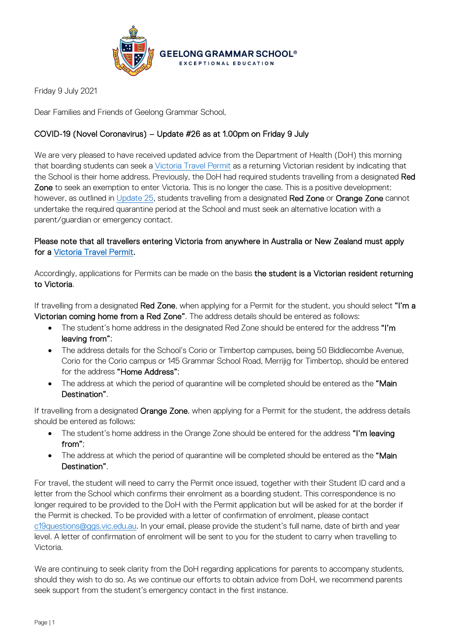

Friday 9 July 2021

Dear Families and Friends of Geelong Grammar School,

## COVID-19 (Novel Coronavirus) – Update #26 as at 1.00pm on Friday 9 July

We are very pleased to have received updated advice from the Department of Health (DoH) this morning that boarding students can seek a [Victoria Travel Permit](https://www.service.vic.gov.au/services/border-permit/home) as a returning Victorian resident by indicating that the School is their home address. Previously, the DoH had required students travelling from a designated Red Zone to seek an exemption to enter Victoria. This is no longer the case. This is a positive development: however, as outlined in [Update 25,](https://www.ggs.vic.edu.au/ArticleDocuments/1007/Coronavirus%20Update%2025_080721_B.pdf.aspx) students travelling from a designated Red Zone or Orange Zone cannot undertake the required quarantine period at the School and must seek an alternative location with a parent/guardian or emergency contact.

## Please note that all travellers entering Victoria from anywhere in Australia or New Zealand must apply for a [Victoria Travel Permit.](https://www.service.vic.gov.au/services/border-permit/home)

Accordingly, applications for Permits can be made on the basis the student is a Victorian resident returning to Victoria.

If travelling from a designated Red Zone, when applying for a Permit for the student, you should select "I'm a Victorian coming home from a Red Zone". The address details should be entered as follows:

- The student's home address in the designated Red Zone should be entered for the address "I'm leaving from";
- The address details for the School's Corio or Timbertop campuses, being 50 Biddlecombe Avenue, Corio for the Corio campus or 145 Grammar School Road, Merrijig for Timbertop, should be entered for the address "Home Address";
- The address at which the period of quarantine will be completed should be entered as the "Main Destination".

If travelling from a designated Orange Zone, when applying for a Permit for the student, the address details should be entered as follows:

- The student's home address in the Orange Zone should be entered for the address "I'm leaving from";
- The address at which the period of quarantine will be completed should be entered as the "Main Destination".

For travel, the student will need to carry the Permit once issued, together with their Student ID card and a letter from the School which confirms their enrolment as a boarding student. This correspondence is no longer required to be provided to the DoH with the Permit application but will be asked for at the border if the Permit is checked. To be provided with a letter of confirmation of enrolment, please contact [c19questions@ggs.vic.edu.au.](mailto:c19questions@ggs.vic.edu.au) In your email, please provide the student's full name, date of birth and year level. A letter of confirmation of enrolment will be sent to you for the student to carry when travelling to Victoria.

We are continuing to seek clarity from the DoH regarding applications for parents to accompany students, should they wish to do so. As we continue our efforts to obtain advice from DoH, we recommend parents seek support from the student's emergency contact in the first instance.